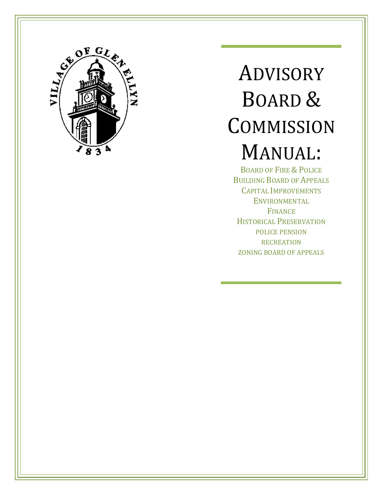

# ADVISORY BOARD & **COMMISSION** MANUAL:

BOARD OF FIRE & POLICE BUILDING BOARD OF APPEALS CAPITAL IMPROVEMENTS **ENVIRONMENTAL** FINANCE HISTORICAL PRESERVATION POLICE PENSION **RECREATION** ZONING BOARD OF APPEALS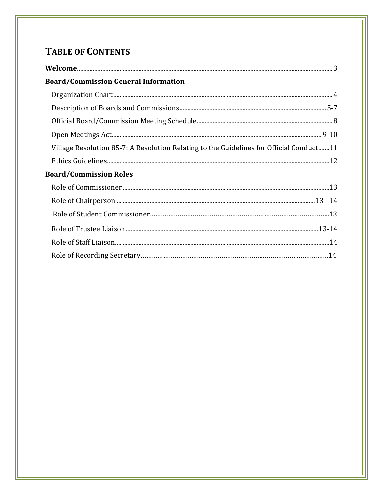# **TABLE OF CONTENTS**

| <b>Board/Commission General Information</b>                                             |
|-----------------------------------------------------------------------------------------|
|                                                                                         |
|                                                                                         |
|                                                                                         |
|                                                                                         |
| Village Resolution 85-7: A Resolution Relating to the Guidelines for Official Conduct11 |
|                                                                                         |
| <b>Board/Commission Roles</b>                                                           |
|                                                                                         |
|                                                                                         |
|                                                                                         |
|                                                                                         |
|                                                                                         |
|                                                                                         |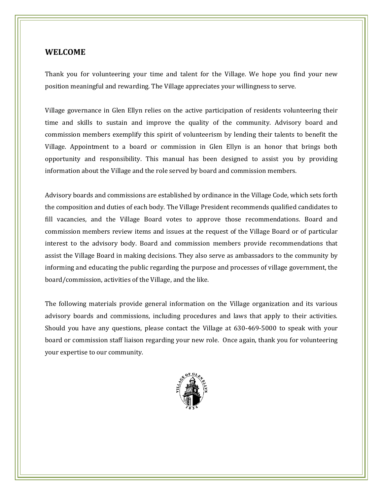### **WELCOME**

I

Thank you for volunteering your time and talent for the Village. We hope you find your new position meaningful and rewarding. The Village appreciates your willingness to serve.

Village governance in Glen Ellyn relies on the active participation of residents volunteering their time and skills to sustain and improve the quality of the community. Advisory board and commission members exemplify this spirit of volunteerism by lending their talents to benefit the Village. Appointment to a board or commission in Glen Ellyn is an honor that brings both opportunity and responsibility. This manual has been designed to assist you by providing information about the Village and the role served by board and commission members.

Advisory boards and commissions are established by ordinance in the Village Code, which sets forth the composition and duties of each body. The Village President recommends qualified candidates to fill vacancies, and the Village Board votes to approve those recommendations. Board and commission members review items and issues at the request of the Village Board or of particular interest to the advisory body. Board and commission members provide recommendations that assist the Village Board in making decisions. They also serve as ambassadors to the community by informing and educating the public regarding the purpose and processes of village government, the board/commission, activities of the Village, and the like.

The following materials provide general information on the Village organization and its various advisory boards and commissions, including procedures and laws that apply to their activities. Should you have any questions, please contact the Village at 630-469-5000 to speak with your board or commission staff liaison regarding your new role. Once again, thank you for volunteering your expertise to our community.

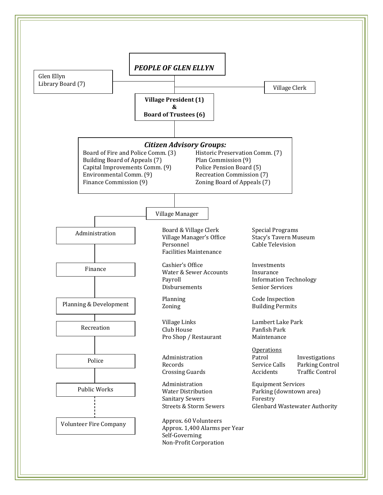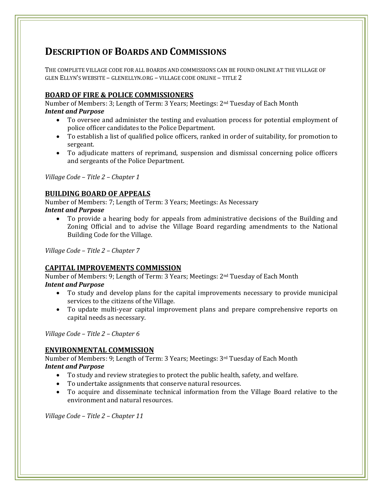# **DESCRIPTION OF BOARDS AND COMMISSIONS**

THE COMPLETE VILLAGE CODE FOR ALL BOARDS AND COMMISSIONS CAN BE FOUND ONLINE AT THE VILLAGE OF GLEN ELLYN'S WEBSITE – GLENELLYN.ORG – VILLAGE CODE ONLINE – TITLE 2

### **BOARD OF FIRE & POLICE COMMISSIONERS**

Number of Members: 3; Length of Term: 3 Years; Meetings: 2nd Tuesday of Each Month *Intent and Purpose*

- To oversee and administer the testing and evaluation process for potential employment of police officer candidates to the Police Department.
- To establish a list of qualified police officers, ranked in order of suitability, for promotion to sergeant.
- To adjudicate matters of reprimand, suspension and dismissal concerning police officers and sergeants of the Police Department.

*Village Code – Title 2 – Chapter 1*

I

### **BUILDING BOARD OF APPEALS**

Number of Members: 7; Length of Term: 3 Years; Meetings: As Necessary *Intent and Purpose*

 To provide a hearing body for appeals from administrative decisions of the Building and Zoning Official and to advise the Village Board regarding amendments to the National Building Code for the Village.

*Village Code – Title 2 – Chapter 7*

### **CAPITAL IMPROVEMENTS COMMISSION**

Number of Members: 9; Length of Term: 3 Years; Meetings: 2nd Tuesday of Each Month *Intent and Purpose*

- To study and develop plans for the capital improvements necessary to provide municipal services to the citizens of the Village.
- To update multi-year capital improvement plans and prepare comprehensive reports on capital needs as necessary.

*Village Code – Title 2 – Chapter 6*

### **ENVIRONMENTAL COMMISSION**

Number of Members: 9; Length of Term: 3 Years; Meetings: 3rd Tuesday of Each Month *Intent and Purpose*

- To study and review strategies to protect the public health, safety, and welfare.
- To undertake assignments that conserve natural resources.
- To acquire and disseminate technical information from the Village Board relative to the environment and natural resources.

*Village Code – Title 2 – Chapter 11*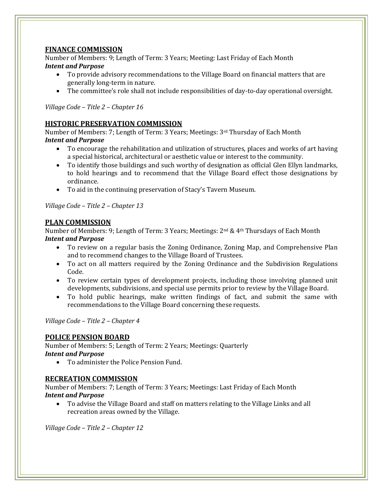### **FINANCE COMMISSION**

I

Number of Members: 9; Length of Term: 3 Years; Meeting: Last Friday of Each Month *Intent and Purpose*

- To provide advisory recommendations to the Village Board on financial matters that are generally long-term in nature.
- The committee's role shall not include responsibilities of day-to-day operational oversight.

*Village Code – Title 2 – Chapter 16*

### **HISTORIC PRESERVATION COMMISSION**

Number of Members: 7; Length of Term: 3 Years; Meetings: 3rd Thursday of Each Month *Intent and Purpose*

- To encourage the rehabilitation and utilization of structures, places and works of art having a special historical, architectural or aesthetic value or interest to the community.
- To identify those buildings and such worthy of designation as official Glen Ellyn landmarks, to hold hearings and to recommend that the Village Board effect those designations by ordinance.
- To aid in the continuing preservation of Stacy's Tavern Museum.

*Village Code – Title 2 – Chapter 13*

### **PLAN COMMISSION**

Number of Members: 9; Length of Term: 3 Years; Meetings: 2<sup>nd</sup> & 4<sup>th</sup> Thursdays of Each Month *Intent and Purpose*

- To review on a regular basis the Zoning Ordinance, Zoning Map, and Comprehensive Plan and to recommend changes to the Village Board of Trustees.
- To act on all matters required by the Zoning Ordinance and the Subdivision Regulations Code.
- To review certain types of development projects, including those involving planned unit developments, subdivisions, and special use permits prior to review by the Village Board.
- To hold public hearings, make written findings of fact, and submit the same with recommendations to the Village Board concerning these requests.

*Village Code – Title 2 – Chapter 4*

### **POLICE PENSION BOARD**

Number of Members: 5; Length of Term: 2 Years; Meetings: Quarterly *Intent and Purpose*

To administer the Police Pension Fund.

### **RECREATION COMMISSION**

Number of Members: 7; Length of Term: 3 Years; Meetings: Last Friday of Each Month *Intent and Purpose*

 To advise the Village Board and staff on matters relating to the Village Links and all recreation areas owned by the Village.

*Village Code – Title 2 – Chapter 12*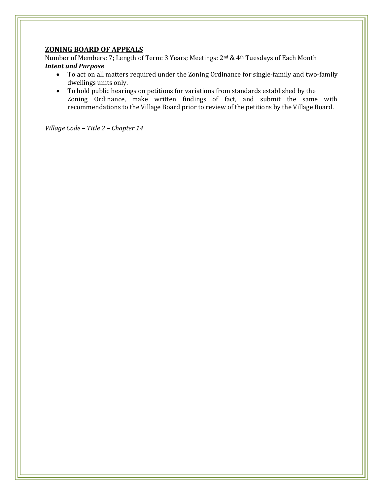### **ZONING BOARD OF APPEALS**

I

Number of Members: 7; Length of Term: 3 Years; Meetings: 2nd & 4th Tuesdays of Each Month *Intent and Purpose*

- To act on all matters required under the Zoning Ordinance for single-family and two-family dwellings units only.
- To hold public hearings on petitions for variations from standards established by the Zoning Ordinance, make written findings of fact, and submit the same with recommendations to the Village Board prior to review of the petitions by the Village Board.

*Village Code – Title 2 – Chapter 14*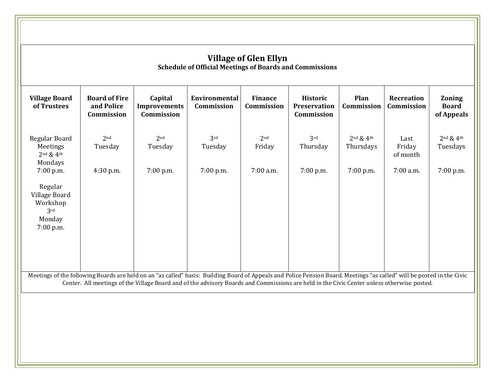| of Trustees                                                                     | <b>Board of Fire</b><br>and Police<br>Commission | Capital<br><b>Improvements</b><br>Commission | Environmental<br>Commission | <b>Finance</b><br>Commission | <b>Historic</b><br><b>Preservation</b><br>Commission | Plan<br>Commission         | <b>Recreation</b><br>Commission | <b>Zoning</b><br><b>Board</b><br>of Appeals |
|---------------------------------------------------------------------------------|--------------------------------------------------|----------------------------------------------|-----------------------------|------------------------------|------------------------------------------------------|----------------------------|---------------------------------|---------------------------------------------|
| Regular Board<br>Meetings<br>$2nd$ & $4th$<br>Mondays                           | 2 <sub>nd</sub><br>Tuesday                       | 2 <sub>nd</sub><br>Tuesday                   | 3rd<br>Tuesday              | 2 <sub>nd</sub><br>Friday    | 3rd<br>Thursday                                      | $2nd$ & $4th$<br>Thursdays | Last<br>Friday<br>of month      | $2nd$ & 4 <sup>th</sup><br>Tuesdays         |
| 7:00 p.m.<br>Regular<br>Village Board<br>Workshop<br>3rd<br>Monday<br>7:00 p.m. | 4:30 p.m.                                        | 7:00 p.m.                                    | 7:00 p.m.                   | 7:00 a.m.                    | 7:00 p.m.                                            | 7:00 p.m.                  | 7:00 a.m.                       | 7:00 p.m.                                   |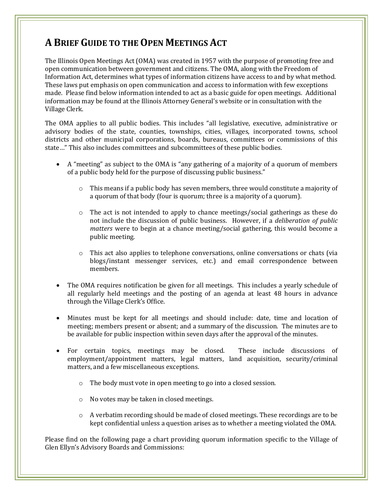# **A BRIEF GUIDE TO THE OPEN MEETINGS ACT**

The Illinois Open Meetings Act (OMA) was created in 1957 with the purpose of promoting free and open communication between government and citizens. The OMA, along with the Freedom of Information Act, determines what types of information citizens have access to and by what method. These laws put emphasis on open communication and access to information with few exceptions made. Please find below information intended to act as a basic guide for open meetings. Additional information may be found at the Illinois Attorney General's website or in consultation with the Village Clerk.

The OMA applies to all public bodies. This includes "all legislative, executive, administrative or advisory bodies of the state, counties, townships, cities, villages, incorporated towns, school districts and other municipal corporations, boards, bureaus, committees or commissions of this state…" This also includes committees and subcommittees of these public bodies.

- A "meeting" as subject to the OMA is "any gathering of a majority of a quorum of members of a public body held for the purpose of discussing public business."
	- $\circ$  This means if a public body has seven members, three would constitute a majority of a quorum of that body (four is quorum; three is a majority of a quorum).
	- $\circ$  The act is not intended to apply to chance meetings/social gatherings as these do not include the discussion of public business. However, if a *deliberation of public matters* were to begin at a chance meeting/social gathering, this would become a public meeting.
	- $\circ$  This act also applies to telephone conversations, online conversations or chats (via blogs/instant messenger services, etc.) and email correspondence between members.
- The OMA requires notification be given for all meetings. This includes a yearly schedule of all regularly held meetings and the posting of an agenda at least 48 hours in advance through the Village Clerk's Office.
- Minutes must be kept for all meetings and should include: date, time and location of meeting; members present or absent; and a summary of the discussion. The minutes are to be available for public inspection within seven days after the approval of the minutes.
- For certain topics, meetings may be closed. These include discussions of employment/appointment matters, legal matters, land acquisition, security/criminal matters, and a few miscellaneous exceptions.
	- o The body must vote in open meeting to go into a closed session.
	- o No votes may be taken in closed meetings.
	- o A verbatim recording should be made of closed meetings. These recordings are to be kept confidential unless a question arises as to whether a meeting violated the OMA.

Please find on the following page a chart providing quorum information specific to the Village of Glen Ellyn's Advisory Boards and Commissions: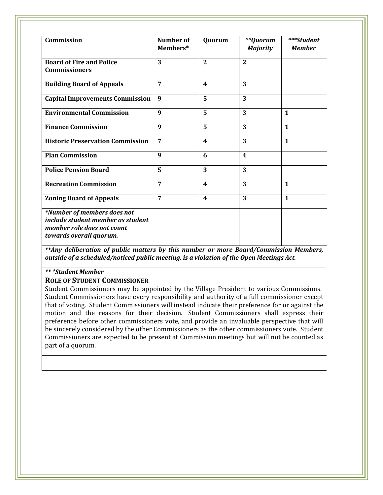| Commission                                                                                                                | Number of<br>Members* | <b>Quorum</b>    | **Quorum<br><b>Majority</b> | ***Student<br><b>Member</b> |
|---------------------------------------------------------------------------------------------------------------------------|-----------------------|------------------|-----------------------------|-----------------------------|
| <b>Board of Fire and Police</b><br><b>Commissioners</b>                                                                   | 3                     | $\overline{2}$   | $\overline{2}$              |                             |
| <b>Building Board of Appeals</b>                                                                                          | 7                     | $\boldsymbol{4}$ | 3                           |                             |
| <b>Capital Improvements Commission</b>                                                                                    | 9                     | 5                | 3                           |                             |
| <b>Environmental Commission</b>                                                                                           | 9                     | 5                | 3                           | $\mathbf{1}$                |
| <b>Finance Commission</b>                                                                                                 | 9                     | 5                | 3                           | $\mathbf{1}$                |
| <b>Historic Preservation Commission</b>                                                                                   | 7                     | $\boldsymbol{4}$ | 3                           | $\mathbf{1}$                |
| <b>Plan Commission</b>                                                                                                    | 9                     | 6                | $\boldsymbol{4}$            |                             |
| <b>Police Pension Board</b>                                                                                               | 5                     | 3                | 3                           |                             |
| <b>Recreation Commission</b>                                                                                              | 7                     | $\boldsymbol{4}$ | 3                           | $\mathbf{1}$                |
| <b>Zoning Board of Appeals</b>                                                                                            | 7                     | $\boldsymbol{4}$ | 3                           | $\mathbf{1}$                |
| *Number of members does not<br>include student member as student<br>member role does not count<br>towards overall quorum. |                       |                  |                             |                             |

*\*\*Any deliberation of public matters by this number or more Board/Commission Members, outside of a scheduled/noticed public meeting, is a violation of the Open Meetings Act.*

### *\*\* \*Student Member*

I

#### **ROLE OF STUDENT COMMISSIONER**

Student Commissioners may be appointed by the Village President to various Commissions. Student Commissioners have every responsibility and authority of a full commissioner except that of voting. Student Commissioners will instead indicate their preference for or against the motion and the reasons for their decision. Student Commissioners shall express their preference before other commissioners vote, and provide an invaluable perspective that will be sincerely considered by the other Commissioners as the other commissioners vote. Student Commissioners are expected to be present at Commission meetings but will not be counted as part of a quorum.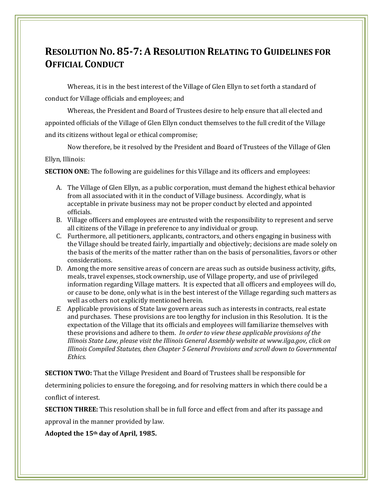# **RESOLUTION NO. 85-7: A RESOLUTION RELATING TO GUIDELINES FOR OFFICIAL CONDUCT**

Whereas, it is in the best interest of the Village of Glen Ellyn to set forth a standard of conduct for Village officials and employees; and

Whereas, the President and Board of Trustees desire to help ensure that all elected and appointed officials of the Village of Glen Ellyn conduct themselves to the full credit of the Village and its citizens without legal or ethical compromise;

Now therefore, be it resolved by the President and Board of Trustees of the Village of Glen Ellyn, Illinois:

**SECTION ONE:** The following are guidelines for this Village and its officers and employees:

- A. The Village of Glen Ellyn, as a public corporation, must demand the highest ethical behavior from all associated with it in the conduct of Village business. Accordingly, what is acceptable in private business may not be proper conduct by elected and appointed officials.
- B. Village officers and employees are entrusted with the responsibility to represent and serve all citizens of the Village in preference to any individual or group.
- C. Furthermore, all petitioners, applicants, contractors, and others engaging in business with the Village should be treated fairly, impartially and objectively; decisions are made solely on the basis of the merits of the matter rather than on the basis of personalities, favors or other considerations.
- D. Among the more sensitive areas of concern are areas such as outside business activity, gifts, meals, travel expenses, stock ownership, use of Village property, and use of privileged information regarding Village matters. It is expected that all officers and employees will do, or cause to be done, only what is in the best interest of the Village regarding such matters as well as others not explicitly mentioned herein.
- *E.* Applicable provisions of State law govern areas such as interests in contracts, real estate and purchases. These provisions are too lengthy for inclusion in this Resolution. It is the expectation of the Village that its officials and employees will familiarize themselves with these provisions and adhere to them. *In order to view these applicable provisions of the Illinois State Law, please visit the Illinois General Assembly website at www.ilga.gov, click on Illinois Compiled Statutes, then Chapter 5 General Provisions and scroll down to Governmental Ethics.*

**SECTION TWO:** That the Village President and Board of Trustees shall be responsible for

determining policies to ensure the foregoing, and for resolving matters in which there could be a conflict of interest.

**SECTION THREE:** This resolution shall be in full force and effect from and after its passage and

approval in the manner provided by law.

**Adopted the 15th day of April, 1985.**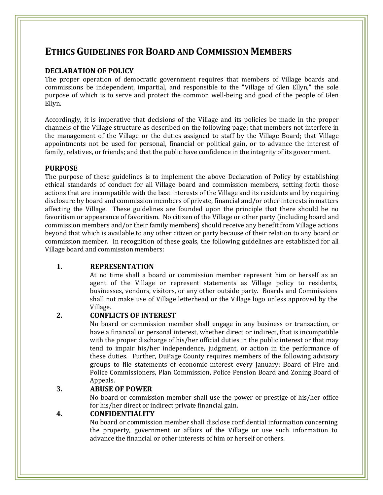### **ETHICS GUIDELINES FOR BOARD AND COMMISSION MEMBERS**

### **DECLARATION OF POLICY**

The proper operation of democratic government requires that members of Village boards and commissions be independent, impartial, and responsible to the "Village of Glen Ellyn," the sole purpose of which is to serve and protect the common well-being and good of the people of Glen Ellyn.

Accordingly, it is imperative that decisions of the Village and its policies be made in the proper channels of the Village structure as described on the following page; that members not interfere in the management of the Village or the duties assigned to staff by the Village Board; that Village appointments not be used for personal, financial or political gain, or to advance the interest of family, relatives, or friends; and that the public have confidence in the integrity of its government.

### **PURPOSE**

I

The purpose of these guidelines is to implement the above Declaration of Policy by establishing ethical standards of conduct for all Village board and commission members, setting forth those actions that are incompatible with the best interests of the Village and its residents and by requiring disclosure by board and commission members of private, financial and/or other interests in matters affecting the Village. These guidelines are founded upon the principle that there should be no favoritism or appearance of favoritism. No citizen of the Village or other party (including board and commission members and/or their family members) should receive any benefit from Village actions beyond that which is available to any other citizen or party because of their relation to any board or commission member. In recognition of these goals, the following guidelines are established for all Village board and commission members:

### **1. REPRESENTATION**

At no time shall a board or commission member represent him or herself as an agent of the Village or represent statements as Village policy to residents, businesses, vendors, visitors, or any other outside party. Boards and Commissions shall not make use of Village letterhead or the Village logo unless approved by the Village.

### **2. CONFLICTS OF INTEREST**

No board or commission member shall engage in any business or transaction, or have a financial or personal interest, whether direct or indirect, that is incompatible with the proper discharge of his/her official duties in the public interest or that may tend to impair his/her independence, judgment, or action in the performance of these duties. Further, DuPage County requires members of the following advisory groups to file statements of economic interest every January: Board of Fire and Police Commissioners, Plan Commission, Police Pension Board and Zoning Board of Appeals.

### **3. ABUSE OF POWER**

No board or commission member shall use the power or prestige of his/her office for his/her direct or indirect private financial gain.

### **4. CONFIDENTIALITY**

No board or commission member shall disclose confidential information concerning the property, government or affairs of the Village or use such information to advance the financial or other interests of him or herself or others.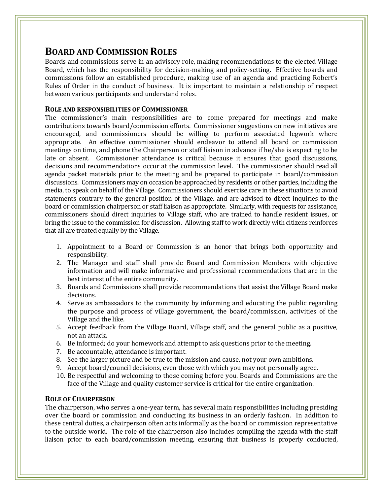# **BOARD AND COMMISSION ROLES**

I

Boards and commissions serve in an advisory role, making recommendations to the elected Village Board, which has the responsibility for decision-making and policy-setting. Effective boards and commissions follow an established procedure, making use of an agenda and practicing Robert's Rules of Order in the conduct of business. It is important to maintain a relationship of respect between various participants and understand roles.

### **ROLE AND RESPONSIBILITIES OF COMMISSIONER**

The commissioner's main responsibilities are to come prepared for meetings and make contributions towards board/commission efforts. Commissioner suggestions on new initiatives are encouraged, and commissioners should be willing to perform associated legwork where appropriate. An effective commissioner should endeavor to attend all board or commission meetings on time, and phone the Chairperson or staff liaison in advance if he/she is expecting to be late or absent. Commissioner attendance is critical because it ensures that good discussions, decisions and recommendations occur at the commission level. The commissioner should read all agenda packet materials prior to the meeting and be prepared to participate in board/commission discussions. Commissioners may on occasion be approached by residents or other parties, including the media, to speak on behalf of the Village. Commissioners should exercise care in these situations to avoid statements contrary to the general position of the Village, and are advised to direct inquiries to the board or commission chairperson or staff liaison as appropriate. Similarly, with requests for assistance, commissioners should direct inquiries to Village staff, who are trained to handle resident issues, or bring the issue to the commission for discussion. Allowing staff to work directly with citizens reinforces that all are treated equally by the Village.

- 1. Appointment to a Board or Commission is an honor that brings both opportunity and responsibility.
- 2. The Manager and staff shall provide Board and Commission Members with objective information and will make informative and professional recommendations that are in the best interest of the entire community.
- 3. Boards and Commissions shall provide recommendations that assist the Village Board make decisions.
- 4. Serve as ambassadors to the community by informing and educating the public regarding the purpose and process of village government, the board/commission, activities of the Village and the like.
- 5. Accept feedback from the Village Board, Village staff, and the general public as a positive, not an attack.
- 6. Be informed; do your homework and attempt to ask questions prior to the meeting.
- 7. Be accountable, attendance is important.
- 8. See the larger picture and be true to the mission and cause, not your own ambitions.
- 9. Accept board/council decisions, even those with which you may not personally agree.
- 10. Be respectful and welcoming to those coming before you. Boards and Commissions are the face of the Village and quality customer service is critical for the entire organization.

### **ROLE OF CHAIRPERSON**

The chairperson, who serves a one-year term, has several main responsibilities including presiding over the board or commission and conducting its business in an orderly fashion. In addition to these central duties, a chairperson often acts informally as the board or commission representative to the outside world. The role of the chairperson also includes compiling the agenda with the staff liaison prior to each board/commission meeting, ensuring that business is properly conducted,